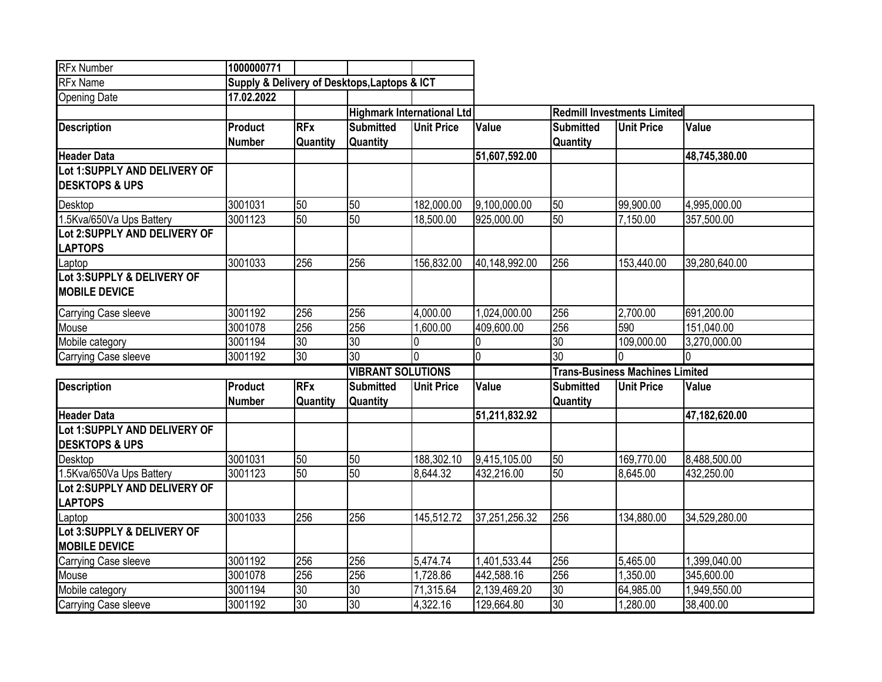| <b>RFx Number</b>                              | 1000000771     |            |                                              |                   |                |                                        |                   |               |  |
|------------------------------------------------|----------------|------------|----------------------------------------------|-------------------|----------------|----------------------------------------|-------------------|---------------|--|
| <b>RFx Name</b>                                |                |            | Supply & Delivery of Desktops, Laptops & ICT |                   |                |                                        |                   |               |  |
| <b>Opening Date</b>                            | 17.02.2022     |            |                                              |                   |                |                                        |                   |               |  |
|                                                |                |            | <b>Highmark International Ltd</b>            |                   |                | <b>Redmill Investments Limited</b>     |                   |               |  |
| <b>Description</b>                             | <b>Product</b> | <b>RFx</b> | <b>Submitted</b>                             | <b>Unit Price</b> | Value          | <b>Submitted</b>                       | <b>Unit Price</b> | Value         |  |
|                                                | <b>Number</b>  | Quantity   | <b>Quantity</b>                              |                   |                | Quantity                               |                   |               |  |
| <b>Header Data</b>                             |                |            |                                              |                   | 51,607,592.00  |                                        |                   | 48,745,380.00 |  |
| Lot 1:SUPPLY AND DELIVERY OF                   |                |            |                                              |                   |                |                                        |                   |               |  |
| <b>DESKTOPS &amp; UPS</b>                      |                |            |                                              |                   |                |                                        |                   |               |  |
| <b>Desktop</b>                                 | 3001031        | 50         | 50                                           | 182,000.00        | 9,100,000.00   | 50                                     | 99,900.00         | 4,995,000.00  |  |
| 1.5Kva/650Va Ups Battery                       | 3001123        | 50         | 50                                           | 18,500.00         | 925,000.00     | 50                                     | 7,150.00          | 357,500.00    |  |
| Lot 2:SUPPLY AND DELIVERY OF<br><b>LAPTOPS</b> |                |            |                                              |                   |                |                                        |                   |               |  |
| Laptop                                         | 3001033        | 256        | 256                                          | 156,832.00        | 40,148,992.00  | 256                                    | 153,440.00        | 39,280,640.00 |  |
| Lot 3:SUPPLY & DELIVERY OF                     |                |            |                                              |                   |                |                                        |                   |               |  |
| <b>MOBILE DEVICE</b>                           |                |            |                                              |                   |                |                                        |                   |               |  |
| Carrying Case sleeve                           | 3001192        | 256        | 256                                          | 4,000.00          | 1,024,000.00   | 256                                    | 2,700.00          | 691,200.00    |  |
| Mouse                                          | 3001078        | 256        | 256                                          | 1,600.00          | 409,600.00     | 256                                    | 590               | 151,040.00    |  |
| Mobile category                                | 3001194        | 30         | 30                                           | l0                |                | 30                                     | 109,000.00        | 3,270,000.00  |  |
| <b>Carrying Case sleeve</b>                    | 3001192        | 30         | 30                                           | Io                | $\overline{0}$ | $\overline{30}$                        |                   | 10.           |  |
|                                                |                |            | <b>VIBRANT SOLUTIONS</b>                     |                   |                | <b>Trans-Business Machines Limited</b> |                   |               |  |
| <b>Description</b>                             | Product        | <b>RFx</b> | <b>Submitted</b>                             | <b>Unit Price</b> | Value          | <b>Submitted</b>                       | <b>Unit Price</b> | Value         |  |
|                                                | <b>Number</b>  | Quantity   | <b>Quantity</b>                              |                   |                | Quantity                               |                   |               |  |
| <b>Header Data</b>                             |                |            |                                              |                   | 51,211,832.92  |                                        |                   | 47,182,620.00 |  |
| Lot 1:SUPPLY AND DELIVERY OF                   |                |            |                                              |                   |                |                                        |                   |               |  |
| <b>DESKTOPS &amp; UPS</b>                      |                |            |                                              |                   |                |                                        |                   |               |  |
| <b>Desktop</b>                                 | 3001031        | 50         | 50                                           | 188,302.10        | 9,415,105.00   | 50                                     | 169,770.00        | 8,488,500.00  |  |
| 1.5Kva/650Va Ups Battery                       | 3001123        | 50         | 50                                           | 8,644.32          | 432,216.00     | 50                                     | 8,645.00          | 432,250.00    |  |
| Lot 2:SUPPLY AND DELIVERY OF                   |                |            |                                              |                   |                |                                        |                   |               |  |
| <b>LAPTOPS</b>                                 |                |            |                                              |                   |                |                                        |                   |               |  |
| Laptop<br>Lot 3:SUPPLY & DELIVERY OF           | 3001033        | 256        | 256                                          | 145,512.72        | 37,251,256.32  | 256                                    | 134,880.00        | 34,529,280.00 |  |
| <b>MOBILE DEVICE</b>                           |                |            |                                              |                   |                |                                        |                   |               |  |
| Carrying Case sleeve                           | 3001192        | 256        | 256                                          | 5,474.74          | 1,401,533.44   | 256                                    | 5.465.00          | 1,399,040.00  |  |
| Mouse                                          | 3001078        | 256        | 256                                          | 1,728.86          | 442,588.16     | 256                                    | 1,350.00          | 345,600.00    |  |
| Mobile category                                | 3001194        | 30         | 30                                           | 71,315.64         | 2,139,469.20   | 30                                     | 64,985.00         | 1,949,550.00  |  |
| Carrying Case sleeve                           | 3001192        | 30         | 30                                           | 4,322.16          | 129,664.80     | 30                                     | 1,280.00          | 38,400.00     |  |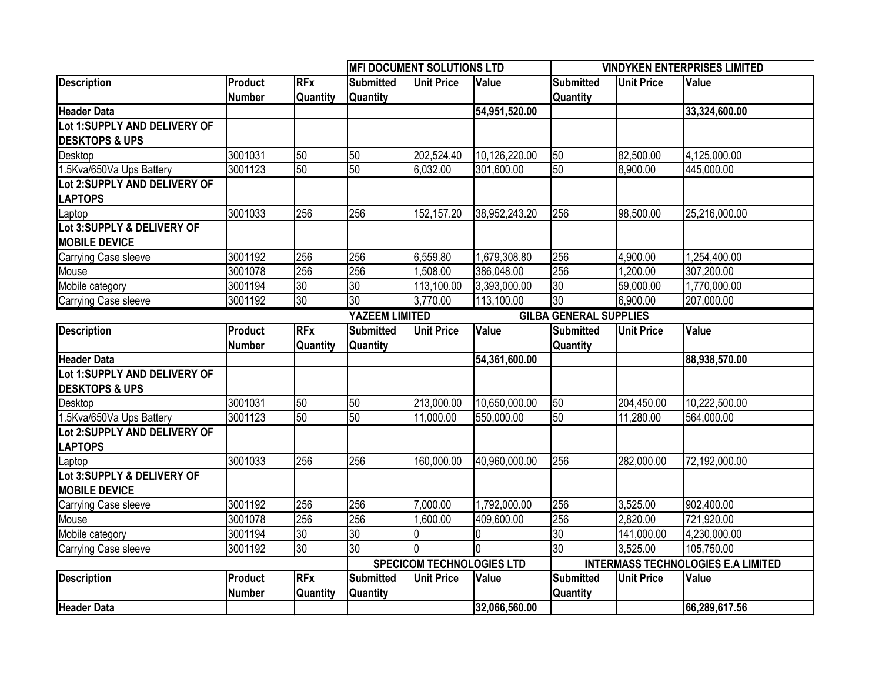|                                                           |                          |                        |                                     | <b>MFI DOCUMENT SOLUTIONS LTD</b> |               | <b>VINDYKEN ENTERPRISES LIMITED</b>       |                   |               |  |
|-----------------------------------------------------------|--------------------------|------------------------|-------------------------------------|-----------------------------------|---------------|-------------------------------------------|-------------------|---------------|--|
| <b>Description</b>                                        | Product                  | <b>RFx</b>             | <b>Submitted</b>                    | <b>Unit Price</b>                 | Value         | <b>Submitted</b>                          | <b>Unit Price</b> | Value         |  |
|                                                           | <b>Number</b>            | <b>Quantity</b>        | Quantity                            |                                   |               | <b>Quantity</b>                           |                   |               |  |
| <b>Header Data</b>                                        |                          |                        |                                     |                                   | 54,951,520.00 |                                           |                   | 33,324,600.00 |  |
| Lot 1:SUPPLY AND DELIVERY OF                              |                          |                        |                                     |                                   |               |                                           |                   |               |  |
| <b>DESKTOPS &amp; UPS</b>                                 |                          |                        |                                     |                                   |               |                                           |                   |               |  |
| Desktop                                                   | 3001031                  | 50                     | 50                                  | 202,524.40                        | 10,126,220.00 | 50                                        | 82,500.00         | 4,125,000.00  |  |
| 1.5Kva/650Va Ups Battery                                  | 3001123                  | 50                     | 50                                  | 6,032.00                          | 301,600.00    | 50                                        | 8,900.00          | 445,000.00    |  |
| Lot 2:SUPPLY AND DELIVERY OF<br><b>LAPTOPS</b>            |                          |                        |                                     |                                   |               |                                           |                   |               |  |
| Laptop                                                    | 3001033                  | 256                    | 256                                 | 152, 157.20                       | 38,952,243.20 | 256                                       | 98,500.00         | 25,216,000.00 |  |
| Lot 3:SUPPLY & DELIVERY OF<br><b>MOBILE DEVICE</b>        |                          |                        |                                     |                                   |               |                                           |                   |               |  |
| <b>Carrying Case sleeve</b>                               | 3001192                  | 256                    | 256                                 | 6,559.80                          | 1,679,308.80  | 256                                       | 4,900.00          | 1,254,400.00  |  |
| Mouse                                                     | 3001078                  | 256                    | 256                                 | 1,508.00                          | 386,048.00    | 256                                       | 1,200.00          | 307,200.00    |  |
| Mobile category                                           | 3001194                  | 30                     | 30                                  | 113,100.00                        | 3,393,000.00  | 30                                        | 59,000.00         | 1,770,000.00  |  |
| <b>Carrying Case sleeve</b>                               | 3001192                  | 30                     | 30                                  | 3,770.00                          | 113,100.00    | 30                                        | 6,900.00          | 207,000.00    |  |
|                                                           |                          |                        | YAZEEM LIMITED                      |                                   |               | <b>GILBA GENERAL SUPPLIES</b>             |                   |               |  |
| <b>Description</b>                                        | Product                  | <b>RFx</b>             | <b>Submitted</b>                    | <b>Unit Price</b>                 | Value         | <b>Submitted</b>                          | <b>Unit Price</b> | Value         |  |
|                                                           | <b>Number</b>            | Quantity               | Quantity                            |                                   |               | <b>Quantity</b>                           |                   |               |  |
| <b>Header Data</b>                                        |                          |                        |                                     |                                   | 54,361,600.00 |                                           |                   | 88,938,570.00 |  |
| Lot 1:SUPPLY AND DELIVERY OF<br><b>DESKTOPS &amp; UPS</b> |                          |                        |                                     |                                   |               |                                           |                   |               |  |
| Desktop                                                   | 3001031                  | 50                     | 50                                  | 213,000.00                        | 10,650,000.00 | 50                                        | 204,450.00        | 10,222,500.00 |  |
| 1.5Kva/650Va Ups Battery                                  | 3001123                  | 50                     | 50                                  | 11,000.00                         | 550,000.00    | 50                                        | 11,280.00         | 564,000.00    |  |
| Lot 2:SUPPLY AND DELIVERY OF<br><b>LAPTOPS</b>            |                          |                        |                                     |                                   |               |                                           |                   |               |  |
| Laptop                                                    | 3001033                  | 256                    | 256                                 | 160,000.00                        | 40,960,000.00 | 256                                       | 282,000.00        | 72,192,000.00 |  |
| Lot 3:SUPPLY & DELIVERY OF<br><b>MOBILE DEVICE</b>        |                          |                        |                                     |                                   |               |                                           |                   |               |  |
| Carrying Case sleeve                                      | 3001192                  | 256                    | 256                                 | 7,000.00                          | 1,792,000.00  | 256                                       | 3,525.00          | 902,400.00    |  |
| Mouse                                                     | 3001078                  | 256                    | 256                                 | 1,600.00                          | 409,600.00    | 256                                       | 2,820.00          | 721,920.00    |  |
| Mobile category                                           | 3001194                  | 30                     | 30                                  | 0                                 |               | 30                                        | 141,000.00        | 4,230,000.00  |  |
| <b>Carrying Case sleeve</b>                               | 3001192                  | 30                     | 30                                  | lo                                |               | $ 30\rangle$                              | 3,525.00          | 105,750.00    |  |
|                                                           |                          |                        |                                     | <b>SPECICOM TECHNOLOGIES LTD</b>  |               | <b>INTERMASS TECHNOLOGIES E.A LIMITED</b> |                   |               |  |
| <b>Description</b>                                        | Product<br><b>Number</b> | <b>RFx</b><br>Quantity | <b>Submitted</b><br><b>Quantity</b> | <b>Unit Price</b>                 | <b>Value</b>  | <b>Submitted</b><br><b>Quantity</b>       | <b>Unit Price</b> | Value         |  |
| <b>Header Data</b>                                        |                          |                        |                                     |                                   | 32,066,560.00 |                                           |                   | 66,289,617.56 |  |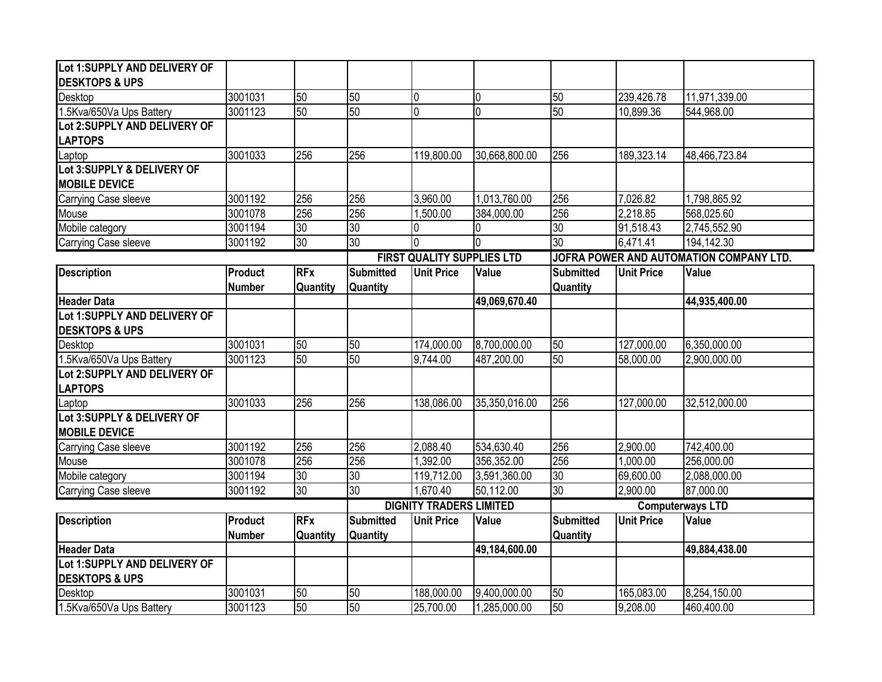| Lot 1:SUPPLY AND DELIVERY OF                       |                                 |                        |                                     |                                |                |                                         |                   |               |  |
|----------------------------------------------------|---------------------------------|------------------------|-------------------------------------|--------------------------------|----------------|-----------------------------------------|-------------------|---------------|--|
| <b>DESKTOPS &amp; UPS</b>                          |                                 |                        |                                     |                                |                |                                         |                   |               |  |
| Desktop                                            | 3001031                         | 50                     | 50                                  | 0                              | $\overline{0}$ | 50                                      | 239,426.78        | 11,971,339.00 |  |
| 1.5Kva/650Va Ups Battery                           | 3001123                         | 50                     | 50                                  | $\overline{0}$                 | $\overline{0}$ | 50                                      | 10,899.36         | 544,968.00    |  |
| Lot 2:SUPPLY AND DELIVERY OF<br><b>LAPTOPS</b>     |                                 |                        |                                     |                                |                |                                         |                   |               |  |
| Laptop                                             | 3001033                         | 256                    | 256                                 | 119,800.00                     | 30,668,800.00  | 256                                     | 189,323.14        | 48,466,723.84 |  |
| Lot 3:SUPPLY & DELIVERY OF                         |                                 |                        |                                     |                                |                |                                         |                   |               |  |
| <b>MOBILE DEVICE</b>                               |                                 |                        |                                     |                                |                |                                         |                   |               |  |
| Carrying Case sleeve                               | 3001192                         | 256                    | 256                                 | 3,960.00                       | 1,013,760.00   | 256                                     | 7,026.82          | 1,798,865.92  |  |
| Mouse                                              | 3001078                         | 256                    | 256                                 | 1,500.00                       | 384,000.00     | 256                                     | 2,218.85          | 568,025.60    |  |
| Mobile category                                    | 3001194                         | $\overline{30}$        | $\overline{30}$                     | 0                              | $\Omega$       | $\overline{30}$                         | 91,518.43         | 2,745,552.90  |  |
| Carrying Case sleeve                               | 3001192                         | 30                     | 30                                  | 0                              | $\Omega$       | 30                                      | 6,471.41          | 194,142.30    |  |
|                                                    |                                 |                        | <b>FIRST QUALITY SUPPLIES LTD</b>   |                                |                | JOFRA POWER AND AUTOMATION COMPANY LTD. |                   |               |  |
| <b>Description</b>                                 | <b>Product</b><br><b>Number</b> | <b>RFx</b><br>Quantity | <b>Submitted</b><br><b>Quantity</b> | <b>Unit Price</b>              | Value          | <b>Submitted</b><br><b>Quantity</b>     | <b>Unit Price</b> | Value         |  |
| <b>Header Data</b>                                 |                                 |                        |                                     |                                | 49,069,670.40  |                                         |                   | 44,935,400.00 |  |
| Lot 1:SUPPLY AND DELIVERY OF                       |                                 |                        |                                     |                                |                |                                         |                   |               |  |
| <b>DESKTOPS &amp; UPS</b>                          |                                 |                        |                                     |                                |                |                                         |                   |               |  |
| Desktop                                            | 3001031                         | 50                     | 50                                  | 174,000.00                     | 8,700,000.00   | 50                                      | 127,000.00        | 6,350,000.00  |  |
| 1.5Kva/650Va Ups Battery                           | 3001123                         | 50                     | 50                                  | 9,744.00                       | 487,200.00     | 50                                      | 58,000.00         | 2,900,000.00  |  |
| Lot 2:SUPPLY AND DELIVERY OF<br><b>LAPTOPS</b>     |                                 |                        |                                     |                                |                |                                         |                   |               |  |
| Laptop                                             | 3001033                         | 256                    | 256                                 | 138,086.00                     | 35,350,016.00  | 256                                     | 127,000.00        | 32,512,000.00 |  |
| Lot 3:SUPPLY & DELIVERY OF<br><b>MOBILE DEVICE</b> |                                 |                        |                                     |                                |                |                                         |                   |               |  |
| Carrying Case sleeve                               | 3001192                         | 256                    | 256                                 | 2,088.40                       | 534,630.40     | 256                                     | 2,900.00          | 742,400.00    |  |
| Mouse                                              | 3001078                         | 256                    | 256                                 | 1,392.00                       | 356,352.00     | 256                                     | 1,000.00          | 256,000.00    |  |
| Mobile category                                    | 3001194                         | 30                     | 30                                  | 119,712.00                     | 3,591,360.00   | 30                                      | 69,600.00         | 2,088,000.00  |  |
| Carrying Case sleeve                               | 3001192                         | 30                     | 30                                  | 1,670.40                       | 50,112.00      | 30                                      | 2,900.00          | 87,000.00     |  |
|                                                    |                                 |                        |                                     | <b>DIGNITY TRADERS LIMITED</b> |                | <b>Computerways LTD</b>                 |                   |               |  |
| <b>Description</b>                                 | Product<br><b>Number</b>        | <b>RFx</b><br>Quantity | <b>Submitted</b><br><b>Quantity</b> | <b>Unit Price</b>              | Value          | <b>Submitted</b><br><b>Quantity</b>     | <b>Unit Price</b> | Value         |  |
| <b>Header Data</b>                                 |                                 |                        |                                     |                                | 49,184,600.00  |                                         |                   | 49,884,438.00 |  |
| Lot 1:SUPPLY AND DELIVERY OF                       |                                 |                        |                                     |                                |                |                                         |                   |               |  |
| <b>DESKTOPS &amp; UPS</b>                          | 3001031                         | 50                     | 50                                  | 188,000.00                     | 9,400,000.00   | $\overline{50}$                         | 165,083.00        | 8,254,150.00  |  |
| Desktop<br>1.5Kva/650Va Ups Battery                | 3001123                         | 50                     | 50                                  | 25,700.00                      | 1,285,000.00   | $\overline{50}$                         | 9,208.00          | 460,400.00    |  |
|                                                    |                                 |                        |                                     |                                |                |                                         |                   |               |  |